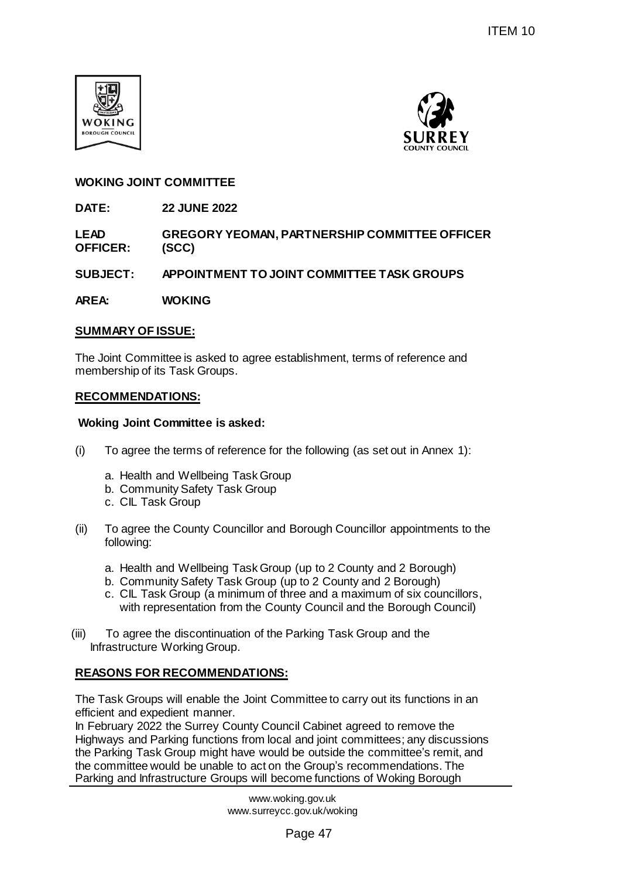



## **WOKING JOINT COMMITTEE**

**DATE: 22 JUNE 2022**

**LEAD OFFICER: GREGORY YEOMAN, PARTNERSHIP COMMITTEE OFFICER (SCC)**

**SUBJECT: APPOINTMENT TO JOINT COMMITTEE TASK GROUPS**

**AREA: WOKING** 

### **SUMMARY OF ISSUE:**

The Joint Committee is asked to agree establishment, terms of reference and membership of its Task Groups.

### **RECOMMENDATIONS:**

### **Woking Joint Committee is asked:**

- (i) To agree the terms of reference for the following (as set out in Annex 1):
	- a. Health and Wellbeing Task Group
	- b. Community Safety Task Group
	- c. CIL Task Group
- (ii) To agree the County Councillor and Borough Councillor appointments to the following:
	- a. Health and Wellbeing Task Group (up to 2 County and 2 Borough)
	- b. Community Safety Task Group (up to 2 County and 2 Borough)
	- c. CIL Task Group (a minimum of three and a maximum of six councillors, with representation from the County Council and the Borough Council)
- (iii) To agree the discontinuation of the Parking Task Group and the Infrastructure Working Group.

## **REASONS FOR RECOMMENDATIONS:**

The Task Groups will enable the Joint Committee to carry out its functions in an efficient and expedient manner.

In February 2022 the Surrey County Council Cabinet agreed to remove the Highways and Parking functions from local and joint committees; any discussions the Parking Task Group might have would be outside the committee's remit, and the committee would be unable to act on the Group's recommendations. The Parking and Infrastructure Groups will become functions of Woking Borough ITEM 10<br>
SURREY<br>
PARTNERSHIP COMMITTEE OFFICER<br>
NAT COMMITTEE TASK GROUPS<br>
NAT COMMITTEE TASK GROUPS<br>
TABLESHIP COMMITTEE OFFICER<br>
INTO COMMITTEE TASK GROUPS<br>
TABLESHIP COMITY AND 2 Borough)<br>
put to 2 County and 2 Borough)

www.woking.gov.uk www.surreycc.gov.uk/woking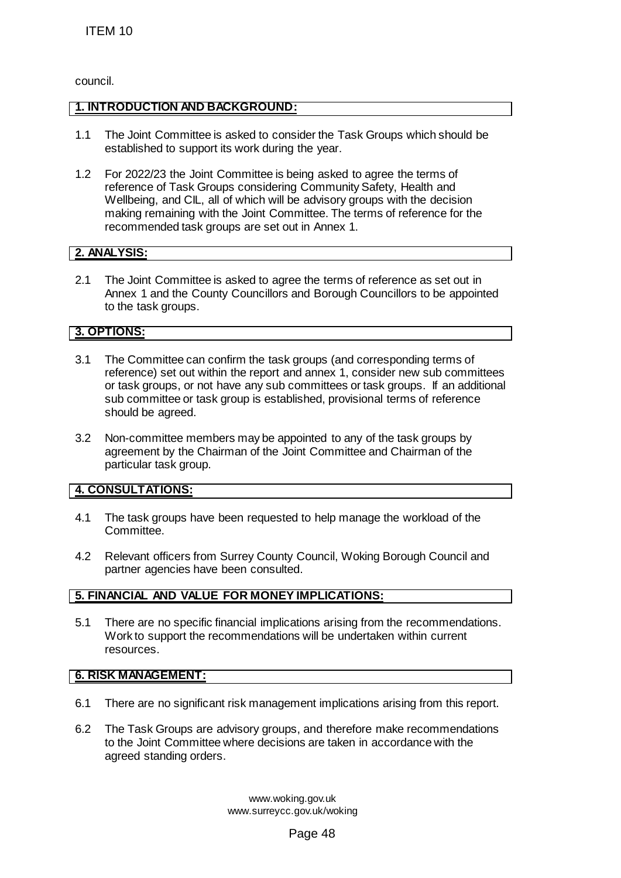council.

# **1. INTRODUCTION AND BACKGROUND:**

- 1.1 The Joint Committee is asked to consider the Task Groups which should be established to support its work during the year.
- 1.2 For 2022/23 the Joint Committee is being asked to agree the terms of reference of Task Groups considering Community Safety, Health and Wellbeing, and CIL, all of which will be advisory groups with the decision making remaining with the Joint Committee. The terms of reference for the recommended task groups are set out in Annex 1. ITEM 10<br>
1 The Joint Committee is asked to consider the<br>
established to support its work during the yea<br>
2 For 202223 He Joint Committee is being asked to<br>
veribeing, and CL, all of which will be advised and<br>
Veribeing, an

# **2. ANALYSIS:**

2.1 The Joint Committee is asked to agree the terms of reference as set out in Annex 1 and the County Councillors and Borough Councillors to be appointed to the task groups.

## **3. OPTIONS:**

- 3.1 The Committee can confirm the task groups (and corresponding terms of reference) set out within the report and annex 1, consider new sub committees or task groups, or not have any sub committees or task groups. If an additional sub committee or task group is established, provisional terms of reference should be agreed.
- 3.2 Non-committee members may be appointed to any of the task groups by agreement by the Chairman of the Joint Committee and Chairman of the particular task group.

# **4. CONSULTATIONS:**

- 4.1 The task groups have been requested to help manage the workload of the Committee.
- 4.2 Relevant officers from Surrey County Council, Woking Borough Council and partner agencies have been consulted.

## **5. FINANCIAL AND VALUE FOR MONEY IMPLICATIONS:**

5.1 There are no specific financial implications arising from the recommendations. Work to support the recommendations will be undertaken within current resources.

## **6. RISK MANAGEMENT:**

- 6.1 There are no significant risk management implications arising from this report.
- 6.2 The Task Groups are advisory groups, and therefore make recommendations to the Joint Committee where decisions are taken in accordance with the agreed standing orders.

www.woking.gov.uk www.surreycc.gov.uk/woking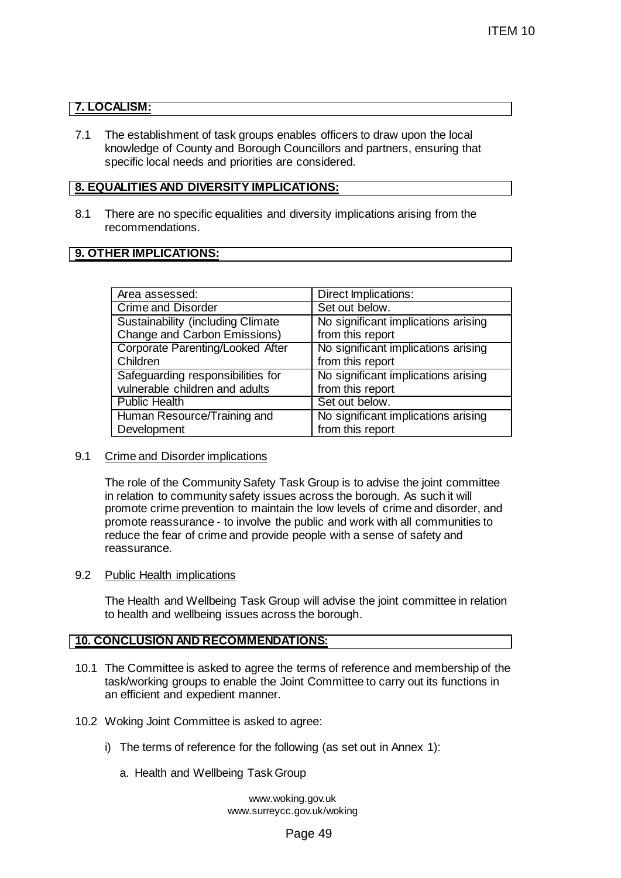# **7. LOCALISM:**

7.1 The establishment of task groups enables officers to draw upon the local knowledge of County and Borough Councillors and partners, ensuring that specific local needs and priorities are considered.

## **8. EQUALITIES AND DIVERSITY IMPLICATIONS:**

8.1 There are no specific equalities and diversity implications arising from the recommendations.

## **9. OTHER IMPLICATIONS:**

|                                                                                                                                                                                                          | ITEM 10                                                                                                                                                                                                                                        |
|----------------------------------------------------------------------------------------------------------------------------------------------------------------------------------------------------------|------------------------------------------------------------------------------------------------------------------------------------------------------------------------------------------------------------------------------------------------|
|                                                                                                                                                                                                          |                                                                                                                                                                                                                                                |
| <b>CALISM:</b>                                                                                                                                                                                           |                                                                                                                                                                                                                                                |
| The establishment of task groups enables officers to draw upon the local<br>nowledge of County and Borough Councillors and partners, ensuring that<br>pecific local needs and priorities are considered. |                                                                                                                                                                                                                                                |
| <b>JALITIES AND DIVERSITY IMPLICATIONS:</b>                                                                                                                                                              |                                                                                                                                                                                                                                                |
| There are no specific equalities and diversity implications arising from the                                                                                                                             |                                                                                                                                                                                                                                                |
| ecommendations.                                                                                                                                                                                          |                                                                                                                                                                                                                                                |
| <b>HER IMPLICATIONS:</b>                                                                                                                                                                                 |                                                                                                                                                                                                                                                |
|                                                                                                                                                                                                          |                                                                                                                                                                                                                                                |
| Area assessed:                                                                                                                                                                                           | Direct Implications:                                                                                                                                                                                                                           |
| <b>Crime and Disorder</b>                                                                                                                                                                                | Set out below.                                                                                                                                                                                                                                 |
| <b>Sustainability (including Climate</b>                                                                                                                                                                 | No significant implications arising                                                                                                                                                                                                            |
| Change and Carbon Emissions)                                                                                                                                                                             | from this report                                                                                                                                                                                                                               |
| <b>Corporate Parenting/Looked After</b>                                                                                                                                                                  | No significant implications arising                                                                                                                                                                                                            |
| Children                                                                                                                                                                                                 | from this report                                                                                                                                                                                                                               |
| Safeguarding responsibilities for<br>vulnerable children and adults                                                                                                                                      | No significant implications arising                                                                                                                                                                                                            |
| <b>Public Health</b>                                                                                                                                                                                     | from this report<br>Set out below.                                                                                                                                                                                                             |
| Human Resource/Training and                                                                                                                                                                              | No significant implications arising                                                                                                                                                                                                            |
| Development                                                                                                                                                                                              | from this report                                                                                                                                                                                                                               |
| Crime and Disorder implications<br>n relation to community safety issues across the borough. As such it will<br>educe the fear of crime and provide people with a sense of safety and<br>eassurance.     | The role of the Community Safety Task Group is to advise the joint committee<br>promote crime prevention to maintain the low levels of crime and disorder, and<br>promote reassurance - to involve the public and work with all communities to |
| Public Health implications                                                                                                                                                                               |                                                                                                                                                                                                                                                |
| o health and wellbeing issues across the borough.                                                                                                                                                        | The Health and Wellbeing Task Group will advise the joint committee in relation                                                                                                                                                                |
| <b>INCLUSION AND RECOMMENDATIONS:</b>                                                                                                                                                                    |                                                                                                                                                                                                                                                |
| in efficient and expedient manner.                                                                                                                                                                       | The Committee is asked to agree the terms of reference and membership of the<br>ask/working groups to enable the Joint Committee to carry out its functions in                                                                                 |
| Voking Joint Committee is asked to agree:                                                                                                                                                                |                                                                                                                                                                                                                                                |
| The terms of reference for the following (as set out in Annex 1):                                                                                                                                        |                                                                                                                                                                                                                                                |
| a. Health and Wellbeing Task Group                                                                                                                                                                       |                                                                                                                                                                                                                                                |
| www.woking.gov.uk<br>www.surreycc.gov.uk/woking                                                                                                                                                          |                                                                                                                                                                                                                                                |
|                                                                                                                                                                                                          | Page 49                                                                                                                                                                                                                                        |

#### 9.1 Crime and Disorder implications

#### 9.2 Public Health implications

#### **10. CONCLUSION AND RECOMMENDATIONS:**

- 10.1 The Committee is asked to agree the terms of reference and membership of the task/working groups to enable the Joint Committee to carry out its functions in an efficient and expedient manner.
- 10.2 Woking Joint Committee is asked to agree:
	- i) The terms of reference for the following (as set out in Annex 1):
		- a. Health and Wellbeing Task Group